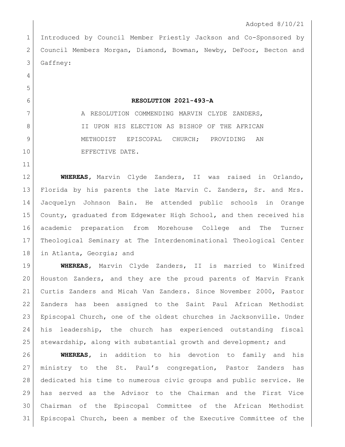Introduced by Council Member Priestly Jackson and Co-Sponsored by Council Members Morgan, Diamond, Bowman, Newby, DeFoor, Becton and Gaffney:

 

## **RESOLUTION 2021-493-A**

7 A RESOLUTION COMMENDING MARVIN CLYDE ZANDERS, 8 I II UPON HIS ELECTION AS BISHOP OF THE AFRICAN 9 METHODIST EPISCOPAL CHURCH; PROVIDING AN 10 EFFECTIVE DATE.

 **WHEREAS,** Marvin Clyde Zanders, II was raised in Orlando, Florida by his parents the late Marvin C. Zanders, Sr. and Mrs. Jacquelyn Johnson Bain. He attended public schools in Orange County, graduated from Edgewater High School, and then received his academic preparation from Morehouse College and The Turner Theological Seminary at The Interdenominational Theological Center in Atlanta, Georgia; and

 **WHEREAS,** Marvin Clyde Zanders, II is married to Winifred Houston Zanders, and they are the proud parents of Marvin Frank Curtis Zanders and Micah Van Zanders. Since November 2000, Pastor Zanders has been assigned to the Saint Paul African Methodist Episcopal Church, one of the oldest churches in Jacksonville. Under his leadership, the church has experienced outstanding fiscal 25 stewardship, along with substantial growth and development; and

 **WHEREAS,** in addition to his devotion to family and his ministry to the St. Paul's congregation, Pastor Zanders has dedicated his time to numerous civic groups and public service. He has served as the Advisor to the Chairman and the First Vice Chairman of the Episcopal Committee of the African Methodist Episcopal Church, been a member of the Executive Committee of the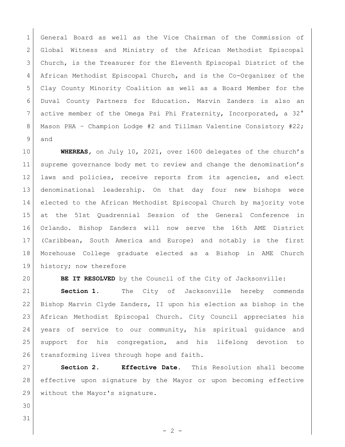General Board as well as the Vice Chairman of the Commission of Global Witness and Ministry of the African Methodist Episcopal Church, is the Treasurer for the Eleventh Episcopal District of the African Methodist Episcopal Church, and is the Co-Organizer of the Clay County Minority Coalition as well as a Board Member for the Duval County Partners for Education. Marvin Zanders is also an 7 active member of the Omega Psi Phi Fraternity, Incorporated, a 32° 8 | Mason PHA - Champion Lodge #2 and Tillman Valentine Consistory #22; and

 **WHEREAS,** on July 10, 2021, over 1600 delegates of the church's 11 supreme governance body met to review and change the denomination's laws and policies, receive reports from its agencies, and elect denominational leadership. On that day four new bishops were elected to the African Methodist Episcopal Church by majority vote at the 51st Quadrennial Session of the General Conference in Orlando. Bishop Zanders will now serve the 16th AME District (Caribbean, South America and Europe) and notably is the first Morehouse College graduate elected as a Bishop in AME Church 19 history; now therefore

**BE IT RESOLVED** by the Council of the City of Jacksonville:

 **Section 1.** The City of Jacksonville hereby commends Bishop Marvin Clyde Zanders, II upon his election as bishop in the African Methodist Episcopal Church. City Council appreciates his years of service to our community, his spiritual guidance and support for his congregation, and his lifelong devotion to 26 transforming lives through hope and faith.

 **Section 2. Effective Date.** This Resolution shall become effective upon signature by the Mayor or upon becoming effective without the Mayor's signature.